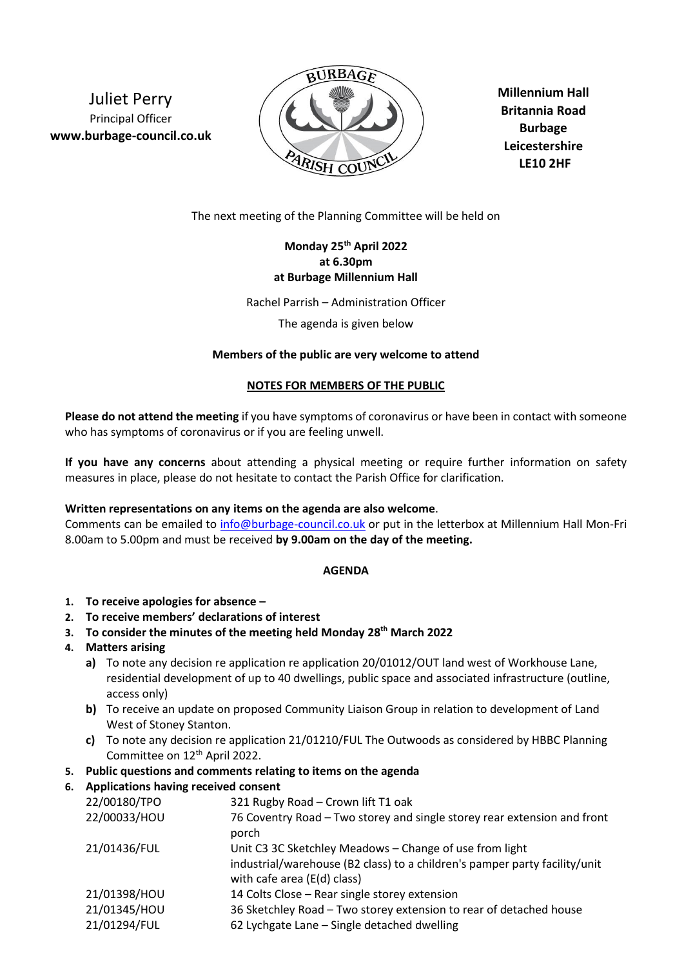Juliet Perry Principal Officer **www.burbage-council.co.uk**



**Millennium Hall Britannia Road Burbage Leicestershire LE10 2HF**

The next meeting of the Planning Committee will be held on

# **Monday 25 th April 2022 at 6.30pm at Burbage Millennium Hall**

Rachel Parrish – Administration Officer

The agenda is given below

## **Members of the public are very welcome to attend**

#### **NOTES FOR MEMBERS OF THE PUBLIC**

**Please do not attend the meeting** if you have symptoms of coronavirus or have been in contact with someone who has symptoms of coronavirus or if you are feeling unwell.

**If you have any concerns** about attending a physical meeting or require further information on safety measures in place, please do not hesitate to contact the Parish Office for clarification.

#### **Written representations on any items on the agenda are also welcome**.

Comments can be emailed to [info@burbage-council.co.uk](mailto:info@burbage-council.co.uk) or put in the letterbox at Millennium Hall Mon-Fri 8.00am to 5.00pm and must be received **by 9.00am on the day of the meeting.**

## **AGENDA**

- **1. To receive apologies for absence –**
- **2. To receive members' declarations of interest**
- **3. To consider the minutes of the meeting held Monday 28th March 2022**

## **4. Matters arising**

- **a)** To note any decision re application re application 20/01012/OUT land west of Workhouse Lane, residential development of up to 40 dwellings, public space and associated infrastructure (outline, access only)
- **b)** To receive an update on proposed Community Liaison Group in relation to development of Land West of Stoney Stanton.
- **c)** To note any decision re application 21/01210/FUL The Outwoods as considered by HBBC Planning Committee on 12<sup>th</sup> April 2022.

## **5. Public questions and comments relating to items on the agenda**

## **6. Applications having received consent**

| Applications naving received consent |                                                                                                                                                                      |
|--------------------------------------|----------------------------------------------------------------------------------------------------------------------------------------------------------------------|
| 22/00180/TPO                         | 321 Rugby Road - Crown lift T1 oak                                                                                                                                   |
| 22/00033/HOU                         | 76 Coventry Road – Two storey and single storey rear extension and front<br>porch                                                                                    |
| 21/01436/FUL                         | Unit C3 3C Sketchley Meadows - Change of use from light<br>industrial/warehouse (B2 class) to a children's pamper party facility/unit<br>with cafe area (E(d) class) |
| 21/01398/HOU                         | 14 Colts Close - Rear single storey extension                                                                                                                        |
| 21/01345/HOU                         | 36 Sketchley Road - Two storey extension to rear of detached house                                                                                                   |
| 21/01294/FUL                         | 62 Lychgate Lane - Single detached dwelling                                                                                                                          |
|                                      |                                                                                                                                                                      |